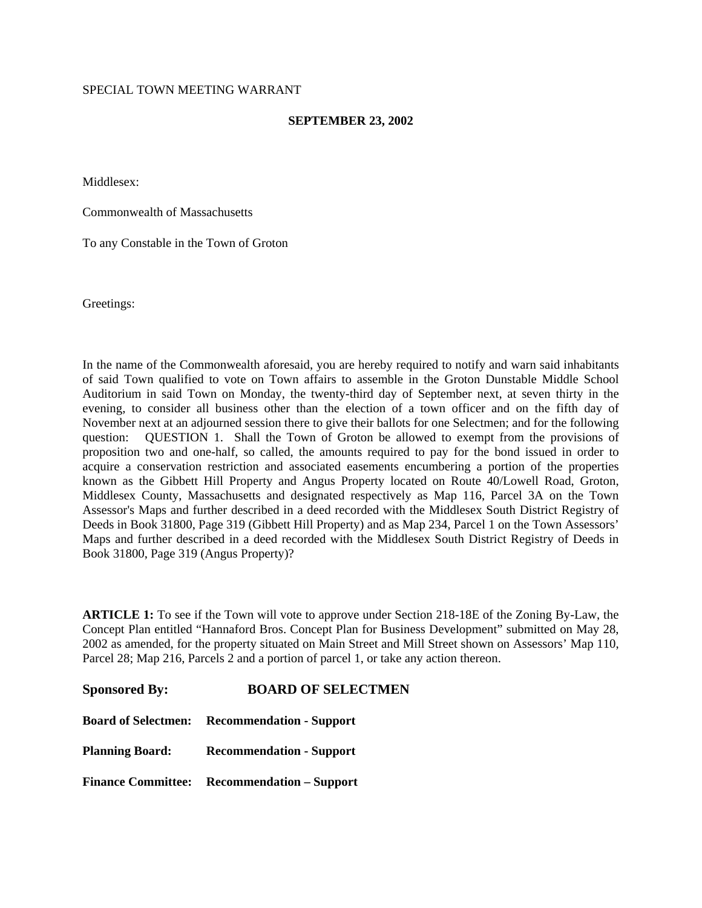#### SPECIAL TOWN MEETING WARRANT

#### **SEPTEMBER 23, 2002**

Middlesex:

Commonwealth of Massachusetts

To any Constable in the Town of Groton

Greetings:

In the name of the Commonwealth aforesaid, you are hereby required to notify and warn said inhabitants of said Town qualified to vote on Town affairs to assemble in the Groton Dunstable Middle School Auditorium in said Town on Monday, the twenty-third day of September next, at seven thirty in the evening, to consider all business other than the election of a town officer and on the fifth day of November next at an adjourned session there to give their ballots for one Selectmen; and for the following question: QUESTION 1. Shall the Town of Groton be allowed to exempt from the provisions of proposition two and one-half, so called, the amounts required to pay for the bond issued in order to acquire a conservation restriction and associated easements encumbering a portion of the properties known as the Gibbett Hill Property and Angus Property located on Route 40/Lowell Road, Groton, Middlesex County, Massachusetts and designated respectively as Map 116, Parcel 3A on the Town Assessor's Maps and further described in a deed recorded with the Middlesex South District Registry of Deeds in Book 31800, Page 319 (Gibbett Hill Property) and as Map 234, Parcel 1 on the Town Assessors' Maps and further described in a deed recorded with the Middlesex South District Registry of Deeds in Book 31800, Page 319 (Angus Property)?

**ARTICLE 1:** To see if the Town will vote to approve under Section 218-18E of the Zoning By-Law, the Concept Plan entitled "Hannaford Bros. Concept Plan for Business Development" submitted on May 28, 2002 as amended, for the property situated on Main Street and Mill Street shown on Assessors' Map 110, Parcel 28; Map 216, Parcels 2 and a portion of parcel 1, or take any action thereon.

| <b>Sponsored By:</b>   | <b>BOARD OF SELECTMEN</b>                           |
|------------------------|-----------------------------------------------------|
|                        | <b>Board of Selectmen: Recommendation - Support</b> |
| <b>Planning Board:</b> | <b>Recommendation - Support</b>                     |
|                        | <b>Finance Committee:</b> Recommendation – Support  |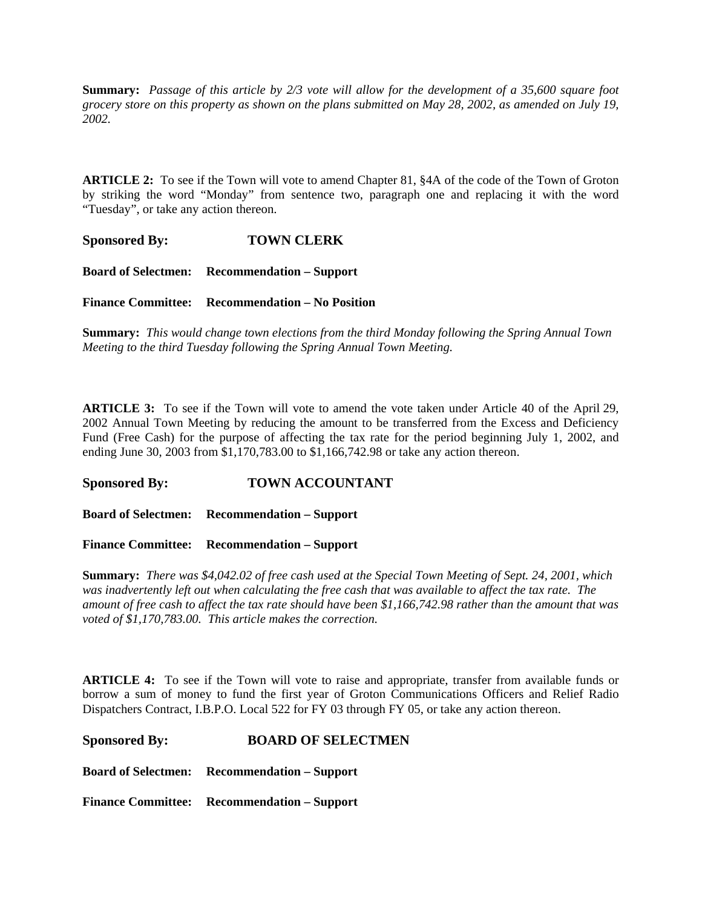**Summary:** *Passage of this article by 2/3 vote will allow for the development of a 35,600 square foot grocery store on this property as shown on the plans submitted on May 28, 2002, as amended on July 19, 2002.*

**ARTICLE 2:** To see if the Town will vote to amend Chapter 81, §4A of the code of the Town of Groton by striking the word "Monday" from sentence two, paragraph one and replacing it with the word "Tuesday", or take any action thereon.

**Sponsored By: TOWN CLERK** 

**Board of Selectmen: Recommendation – Support**

**Finance Committee: Recommendation – No Position**

**Summary:** *This would change town elections from the third Monday following the Spring Annual Town Meeting to the third Tuesday following the Spring Annual Town Meeting.*

**ARTICLE 3:** To see if the Town will vote to amend the vote taken under Article 40 of the April 29, 2002 Annual Town Meeting by reducing the amount to be transferred from the Excess and Deficiency Fund (Free Cash) for the purpose of affecting the tax rate for the period beginning July 1, 2002, and ending June 30, 2003 from \$1,170,783.00 to \$1,166,742.98 or take any action thereon.

#### **Sponsored By: TOWN ACCOUNTANT**

**Board of Selectmen: Recommendation – Support**

**Finance Committee: Recommendation – Support**

**Summary:** *There was \$4,042.02 of free cash used at the Special Town Meeting of Sept. 24, 2001, which was inadvertently left out when calculating the free cash that was available to affect the tax rate. The amount of free cash to affect the tax rate should have been \$1,166,742.98 rather than the amount that was voted of \$1,170,783.00. This article makes the correction.*

**ARTICLE 4:** To see if the Town will vote to raise and appropriate, transfer from available funds or borrow a sum of money to fund the first year of Groton Communications Officers and Relief Radio Dispatchers Contract, I.B.P.O. Local 522 for FY 03 through FY 05, or take any action thereon.

#### **Sponsored By: BOARD OF SELECTMEN**

**Board of Selectmen: Recommendation – Support**

**Finance Committee: Recommendation – Support**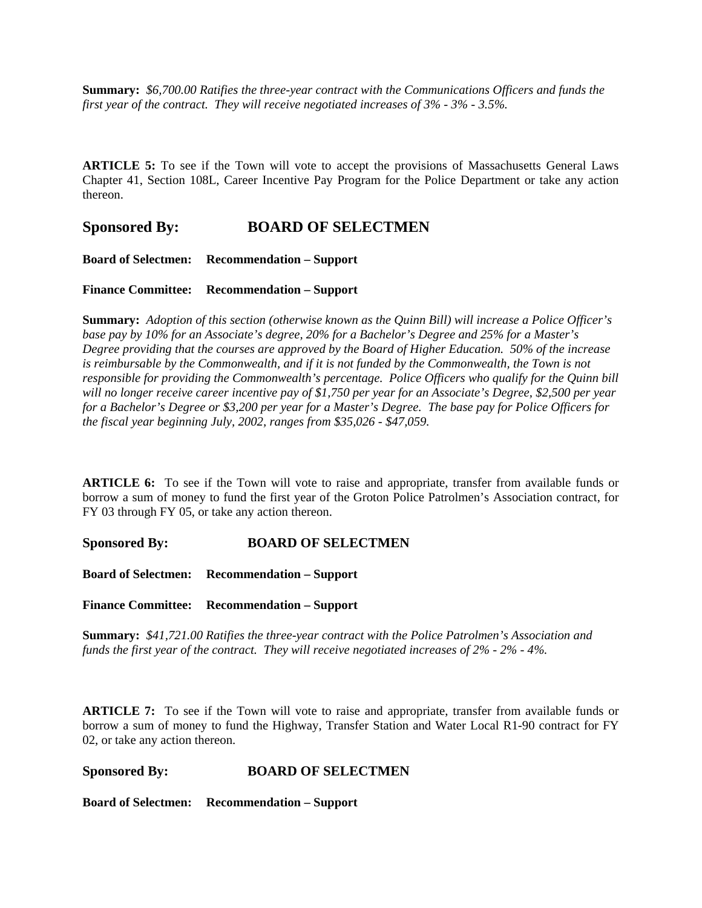**Summary:** *\$6,700.00 Ratifies the three-year contract with the Communications Officers and funds the first year of the contract. They will receive negotiated increases of 3% - 3% - 3.5%.*

**ARTICLE 5:** To see if the Town will vote to accept the provisions of Massachusetts General Laws Chapter 41, Section 108L, Career Incentive Pay Program for the Police Department or take any action thereon.

### **Sponsored By: BOARD OF SELECTMEN**

**Board of Selectmen: Recommendation – Support**

**Finance Committee: Recommendation – Support**

**Summary:** *Adoption of this section (otherwise known as the Quinn Bill) will increase a Police Officer's base pay by 10% for an Associate's degree, 20% for a Bachelor's Degree and 25% for a Master's Degree providing that the courses are approved by the Board of Higher Education. 50% of the increase*  is reimbursable by the Commonwealth, and if it is not funded by the Commonwealth, the Town is not *responsible for providing the Commonwealth's percentage. Police Officers who qualify for the Quinn bill will no longer receive career incentive pay of \$1,750 per year for an Associate's Degree, \$2,500 per year for a Bachelor's Degree or \$3,200 per year for a Master's Degree. The base pay for Police Officers for the fiscal year beginning July, 2002, ranges from \$35,026 - \$47,059.*

**ARTICLE 6:** To see if the Town will vote to raise and appropriate, transfer from available funds or borrow a sum of money to fund the first year of the Groton Police Patrolmen's Association contract, for FY 03 through FY 05, or take any action thereon.

**Sponsored By: BOARD OF SELECTMEN** 

**Board of Selectmen: Recommendation – Support**

**Finance Committee: Recommendation – Support**

**Summary:** *\$41,721.00 Ratifies the three-year contract with the Police Patrolmen's Association and funds the first year of the contract. They will receive negotiated increases of 2% - 2% - 4%.*

**ARTICLE 7:** To see if the Town will vote to raise and appropriate, transfer from available funds or borrow a sum of money to fund the Highway, Transfer Station and Water Local R1-90 contract for FY 02, or take any action thereon.

#### **Sponsored By: BOARD OF SELECTMEN**

**Board of Selectmen: Recommendation – Support**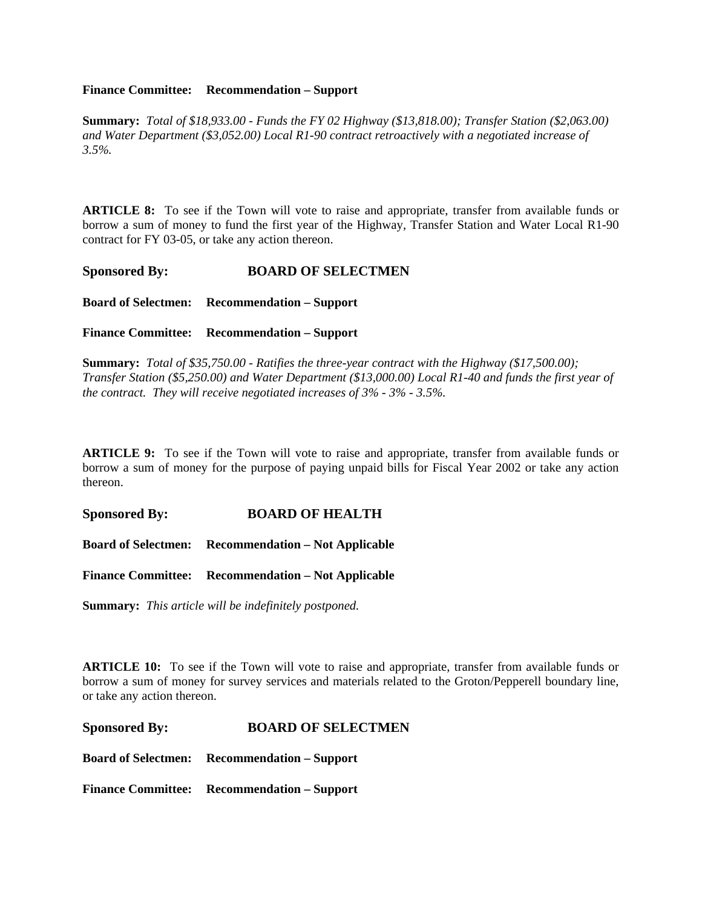#### **Finance Committee: Recommendation – Support**

**Summary:** *Total of \$18,933.00 - Funds the FY 02 Highway (\$13,818.00); Transfer Station (\$2,063.00) and Water Department (\$3,052.00) Local R1-90 contract retroactively with a negotiated increase of 3.5%.*

**ARTICLE 8:** To see if the Town will vote to raise and appropriate, transfer from available funds or borrow a sum of money to fund the first year of the Highway, Transfer Station and Water Local R1-90 contract for FY 03-05, or take any action thereon.

**Sponsored By: BOARD OF SELECTMEN** 

**Board of Selectmen: Recommendation – Support**

**Finance Committee: Recommendation – Support**

**Summary:** *Total of \$35,750.00 - Ratifies the three-year contract with the Highway (\$17,500.00); Transfer Station (\$5,250.00) and Water Department (\$13,000.00) Local R1-40 and funds the first year of the contract. They will receive negotiated increases of 3% - 3% - 3.5%.*

**ARTICLE 9:** To see if the Town will vote to raise and appropriate, transfer from available funds or borrow a sum of money for the purpose of paying unpaid bills for Fiscal Year 2002 or take any action thereon.

**Sponsored By: BOARD OF HEALTH** 

**Board of Selectmen: Recommendation – Not Applicable**

**Finance Committee: Recommendation – Not Applicable**

**Summary:** *This article will be indefinitely postponed.*

**ARTICLE 10:** To see if the Town will vote to raise and appropriate, transfer from available funds or borrow a sum of money for survey services and materials related to the Groton/Pepperell boundary line, or take any action thereon.

**Sponsored By: BOARD OF SELECTMEN** 

**Board of Selectmen: Recommendation – Support**

**Finance Committee: Recommendation – Support**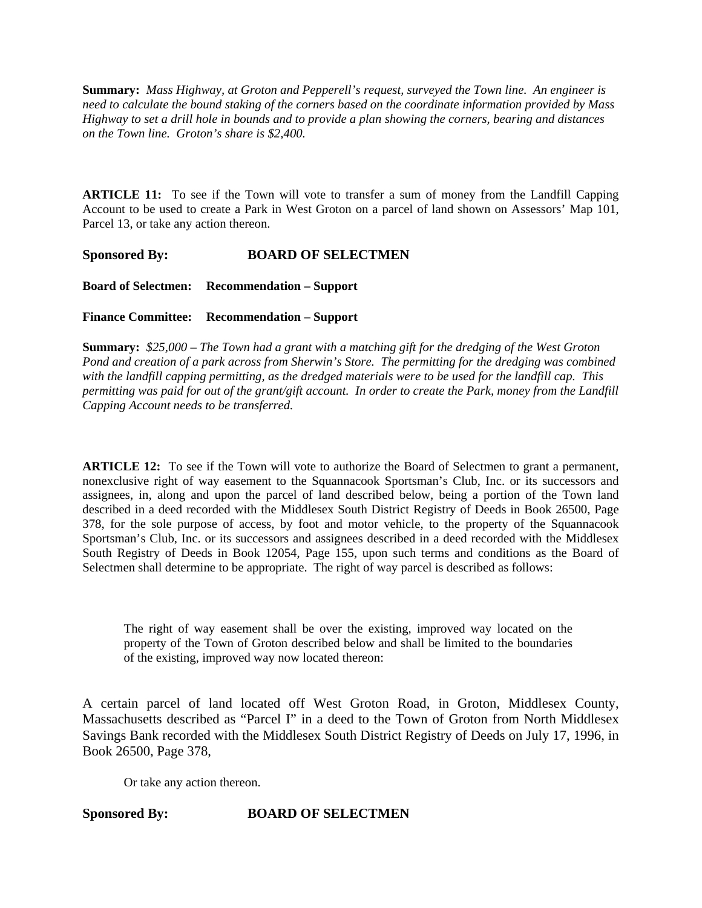**Summary:** *Mass Highway, at Groton and Pepperell's request, surveyed the Town line. An engineer is need to calculate the bound staking of the corners based on the coordinate information provided by Mass Highway to set a drill hole in bounds and to provide a plan showing the corners, bearing and distances on the Town line. Groton's share is \$2,400.*

**ARTICLE 11:** To see if the Town will vote to transfer a sum of money from the Landfill Capping Account to be used to create a Park in West Groton on a parcel of land shown on Assessors' Map 101, Parcel 13, or take any action thereon.

**Sponsored By: BOARD OF SELECTMEN** 

**Board of Selectmen: Recommendation – Support**

**Finance Committee: Recommendation – Support**

**Summary:** *\$25,000 – The Town had a grant with a matching gift for the dredging of the West Groton Pond and creation of a park across from Sherwin's Store. The permitting for the dredging was combined with the landfill capping permitting, as the dredged materials were to be used for the landfill cap. This permitting was paid for out of the grant/gift account. In order to create the Park, money from the Landfill Capping Account needs to be transferred.*

**ARTICLE 12:** To see if the Town will vote to authorize the Board of Selectmen to grant a permanent, nonexclusive right of way easement to the Squannacook Sportsman's Club, Inc. or its successors and assignees, in, along and upon the parcel of land described below, being a portion of the Town land described in a deed recorded with the Middlesex South District Registry of Deeds in Book 26500, Page 378, for the sole purpose of access, by foot and motor vehicle, to the property of the Squannacook Sportsman's Club, Inc. or its successors and assignees described in a deed recorded with the Middlesex South Registry of Deeds in Book 12054, Page 155, upon such terms and conditions as the Board of Selectmen shall determine to be appropriate. The right of way parcel is described as follows:

The right of way easement shall be over the existing, improved way located on the property of the Town of Groton described below and shall be limited to the boundaries of the existing, improved way now located thereon:

A certain parcel of land located off West Groton Road, in Groton, Middlesex County, Massachusetts described as "Parcel I" in a deed to the Town of Groton from North Middlesex Savings Bank recorded with the Middlesex South District Registry of Deeds on July 17, 1996, in Book 26500, Page 378,

Or take any action thereon.

#### **Sponsored By: BOARD OF SELECTMEN**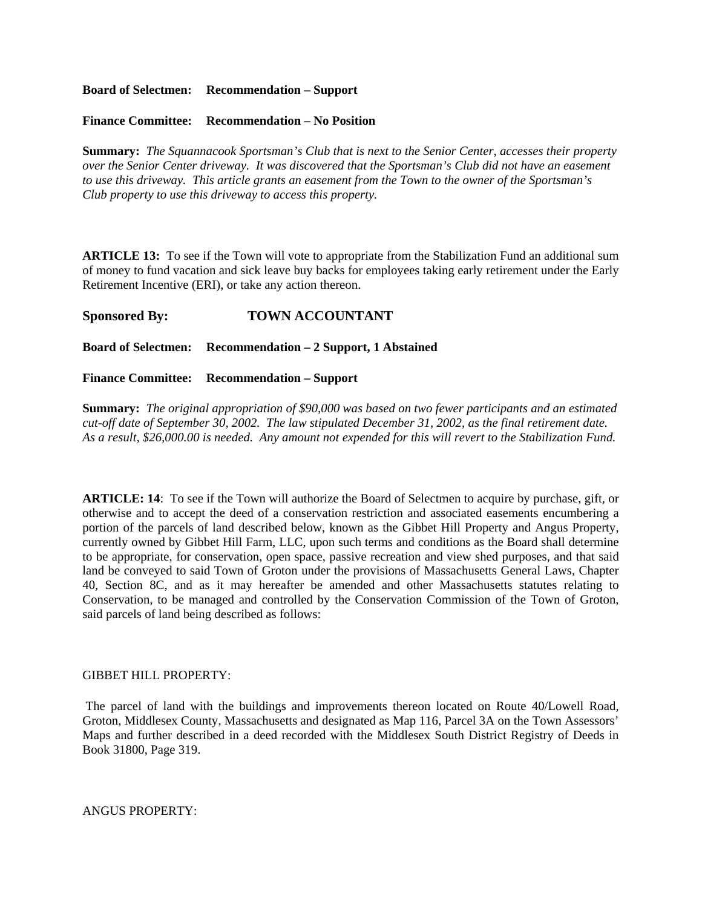**Board of Selectmen: Recommendation – Support**

**Finance Committee: Recommendation – No Position**

**Summary:** *The Squannacook Sportsman's Club that is next to the Senior Center, accesses their property over the Senior Center driveway. It was discovered that the Sportsman's Club did not have an easement to use this driveway. This article grants an easement from the Town to the owner of the Sportsman's Club property to use this driveway to access this property.*

**ARTICLE 13:** To see if the Town will vote to appropriate from the Stabilization Fund an additional sum of money to fund vacation and sick leave buy backs for employees taking early retirement under the Early Retirement Incentive (ERI), or take any action thereon.

#### **Sponsored By: TOWN ACCOUNTANT**

**Board of Selectmen: Recommendation – 2 Support, 1 Abstained**

**Finance Committee: Recommendation – Support**

**Summary:** *The original appropriation of \$90,000 was based on two fewer participants and an estimated cut-off date of September 30, 2002. The law stipulated December 31, 2002, as the final retirement date. As a result, \$26,000.00 is needed. Any amount not expended for this will revert to the Stabilization Fund.*

**ARTICLE: 14**: To see if the Town will authorize the Board of Selectmen to acquire by purchase, gift, or otherwise and to accept the deed of a conservation restriction and associated easements encumbering a portion of the parcels of land described below, known as the Gibbet Hill Property and Angus Property, currently owned by Gibbet Hill Farm, LLC, upon such terms and conditions as the Board shall determine to be appropriate, for conservation, open space, passive recreation and view shed purposes, and that said land be conveyed to said Town of Groton under the provisions of Massachusetts General Laws, Chapter 40, Section 8C, and as it may hereafter be amended and other Massachusetts statutes relating to Conservation, to be managed and controlled by the Conservation Commission of the Town of Groton, said parcels of land being described as follows:

#### GIBBET HILL PROPERTY:

 The parcel of land with the buildings and improvements thereon located on Route 40/Lowell Road, Groton, Middlesex County, Massachusetts and designated as Map 116, Parcel 3A on the Town Assessors' Maps and further described in a deed recorded with the Middlesex South District Registry of Deeds in Book 31800, Page 319.

ANGUS PROPERTY: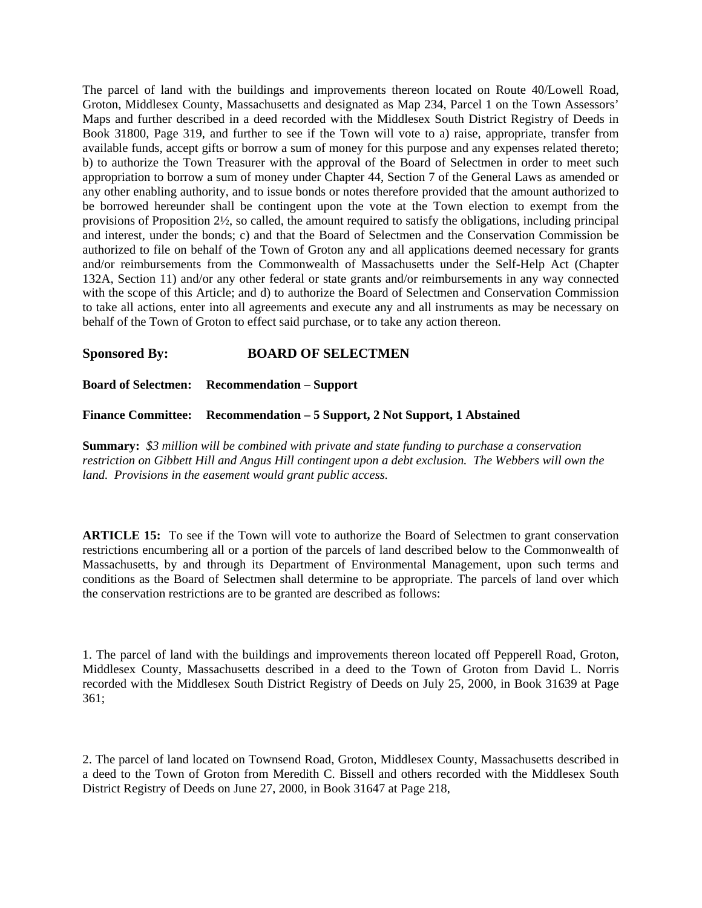The parcel of land with the buildings and improvements thereon located on Route 40/Lowell Road, Groton, Middlesex County, Massachusetts and designated as Map 234, Parcel 1 on the Town Assessors' Maps and further described in a deed recorded with the Middlesex South District Registry of Deeds in Book 31800, Page 319, and further to see if the Town will vote to a) raise, appropriate, transfer from available funds, accept gifts or borrow a sum of money for this purpose and any expenses related thereto; b) to authorize the Town Treasurer with the approval of the Board of Selectmen in order to meet such appropriation to borrow a sum of money under Chapter 44, Section 7 of the General Laws as amended or any other enabling authority, and to issue bonds or notes therefore provided that the amount authorized to be borrowed hereunder shall be contingent upon the vote at the Town election to exempt from the provisions of Proposition 2½, so called, the amount required to satisfy the obligations, including principal and interest, under the bonds; c) and that the Board of Selectmen and the Conservation Commission be authorized to file on behalf of the Town of Groton any and all applications deemed necessary for grants and/or reimbursements from the Commonwealth of Massachusetts under the Self-Help Act (Chapter 132A, Section 11) and/or any other federal or state grants and/or reimbursements in any way connected with the scope of this Article; and d) to authorize the Board of Selectmen and Conservation Commission to take all actions, enter into all agreements and execute any and all instruments as may be necessary on behalf of the Town of Groton to effect said purchase, or to take any action thereon.

### **Sponsored By: BOARD OF SELECTMEN**

**Board of Selectmen: Recommendation – Support**

**Finance Committee: Recommendation – 5 Support, 2 Not Support, 1 Abstained**

**Summary:** *\$3 million will be combined with private and state funding to purchase a conservation restriction on Gibbett Hill and Angus Hill contingent upon a debt exclusion. The Webbers will own the land. Provisions in the easement would grant public access.*

**ARTICLE 15:** To see if the Town will vote to authorize the Board of Selectmen to grant conservation restrictions encumbering all or a portion of the parcels of land described below to the Commonwealth of Massachusetts, by and through its Department of Environmental Management, upon such terms and conditions as the Board of Selectmen shall determine to be appropriate. The parcels of land over which the conservation restrictions are to be granted are described as follows:

1. The parcel of land with the buildings and improvements thereon located off Pepperell Road, Groton, Middlesex County, Massachusetts described in a deed to the Town of Groton from David L. Norris recorded with the Middlesex South District Registry of Deeds on July 25, 2000, in Book 31639 at Page 361;

2. The parcel of land located on Townsend Road, Groton, Middlesex County, Massachusetts described in a deed to the Town of Groton from Meredith C. Bissell and others recorded with the Middlesex South District Registry of Deeds on June 27, 2000, in Book 31647 at Page 218,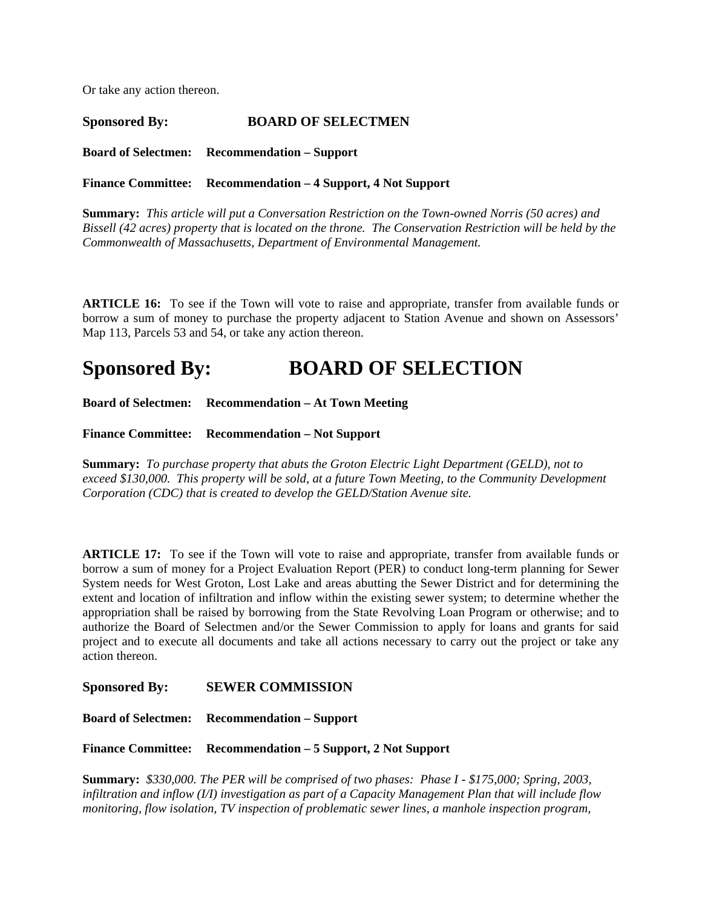Or take any action thereon.

**Sponsored By: BOARD OF SELECTMEN Board of Selectmen: Recommendation – Support**

**Finance Committee: Recommendation – 4 Support, 4 Not Support**

**Summary:** *This article will put a Conversation Restriction on the Town-owned Norris (50 acres) and Bissell (42 acres) property that is located on the throne. The Conservation Restriction will be held by the Commonwealth of Massachusetts, Department of Environmental Management.*

**ARTICLE 16:** To see if the Town will vote to raise and appropriate, transfer from available funds or borrow a sum of money to purchase the property adjacent to Station Avenue and shown on Assessors' Map 113, Parcels 53 and 54, or take any action thereon.

# **Sponsored By: BOARD OF SELECTION**

**Board of Selectmen: Recommendation – At Town Meeting**

**Finance Committee: Recommendation – Not Support**

**Summary:** *To purchase property that abuts the Groton Electric Light Department (GELD), not to exceed \$130,000. This property will be sold, at a future Town Meeting, to the Community Development Corporation (CDC) that is created to develop the GELD/Station Avenue site.*

**ARTICLE 17:** To see if the Town will vote to raise and appropriate, transfer from available funds or borrow a sum of money for a Project Evaluation Report (PER) to conduct long-term planning for Sewer System needs for West Groton, Lost Lake and areas abutting the Sewer District and for determining the extent and location of infiltration and inflow within the existing sewer system; to determine whether the appropriation shall be raised by borrowing from the State Revolving Loan Program or otherwise; and to authorize the Board of Selectmen and/or the Sewer Commission to apply for loans and grants for said project and to execute all documents and take all actions necessary to carry out the project or take any action thereon.

**Sponsored By: SEWER COMMISSION** 

**Board of Selectmen: Recommendation – Support**

**Finance Committee: Recommendation – 5 Support, 2 Not Support**

**Summary:** *\$330,000. The PER will be comprised of two phases: Phase I - \$175,000; Spring, 2003, infiltration and inflow (I/I) investigation as part of a Capacity Management Plan that will include flow monitoring, flow isolation, TV inspection of problematic sewer lines, a manhole inspection program,*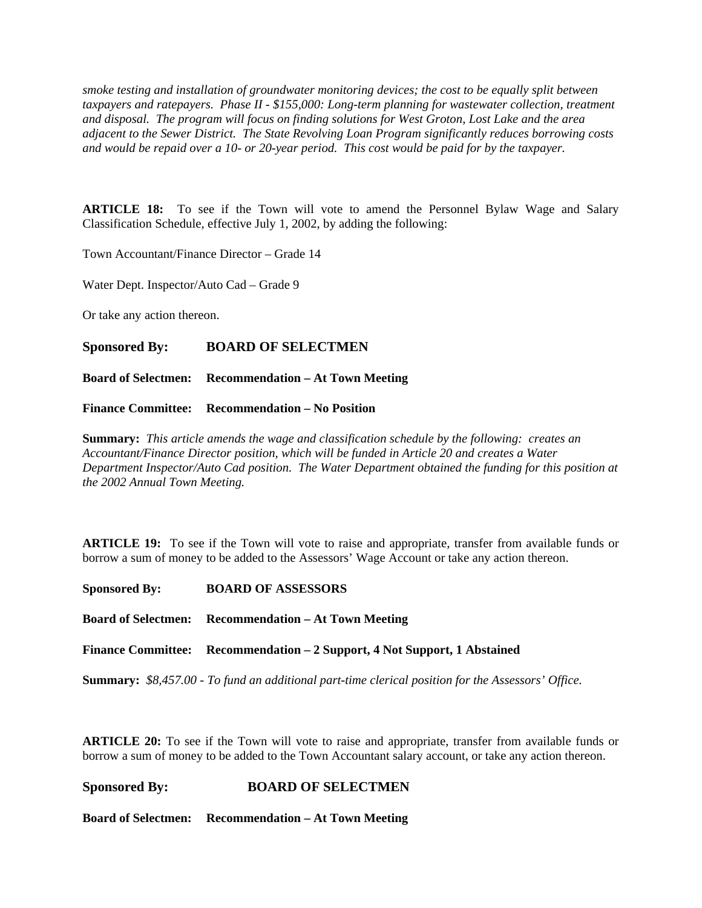*smoke testing and installation of groundwater monitoring devices; the cost to be equally split between taxpayers and ratepayers. Phase II - \$155,000: Long-term planning for wastewater collection, treatment and disposal. The program will focus on finding solutions for West Groton, Lost Lake and the area adjacent to the Sewer District. The State Revolving Loan Program significantly reduces borrowing costs and would be repaid over a 10- or 20-year period. This cost would be paid for by the taxpayer.*

**ARTICLE 18:** To see if the Town will vote to amend the Personnel Bylaw Wage and Salary Classification Schedule, effective July 1, 2002, by adding the following:

Town Accountant/Finance Director – Grade 14

Water Dept. Inspector/Auto Cad – Grade 9

Or take any action thereon.

#### **Sponsored By: BOARD OF SELECTMEN**

**Board of Selectmen: Recommendation – At Town Meeting**

**Finance Committee: Recommendation – No Position**

**Summary:** *This article amends the wage and classification schedule by the following: creates an Accountant/Finance Director position, which will be funded in Article 20 and creates a Water Department Inspector/Auto Cad position. The Water Department obtained the funding for this position at the 2002 Annual Town Meeting.*

**ARTICLE 19:** To see if the Town will vote to raise and appropriate, transfer from available funds or borrow a sum of money to be added to the Assessors' Wage Account or take any action thereon.

**Sponsored By: BOARD OF ASSESSORS**

**Board of Selectmen: Recommendation – At Town Meeting**

**Finance Committee: Recommendation – 2 Support, 4 Not Support, 1 Abstained**

**Summary:** *\$8,457.00 - To fund an additional part-time clerical position for the Assessors' Office.*

**ARTICLE 20:** To see if the Town will vote to raise and appropriate, transfer from available funds or borrow a sum of money to be added to the Town Accountant salary account, or take any action thereon.

### **Sponsored By: BOARD OF SELECTMEN**

**Board of Selectmen: Recommendation – At Town Meeting**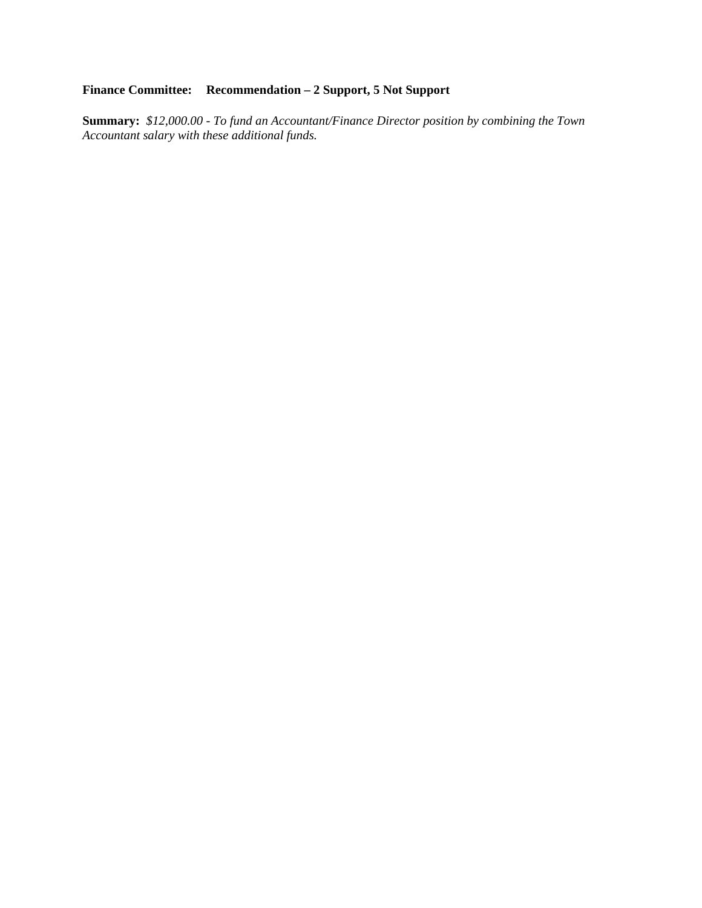## **Finance Committee: Recommendation – 2 Support, 5 Not Support**

**Summary:** *\$12,000.00 - To fund an Accountant/Finance Director position by combining the Town Accountant salary with these additional funds.*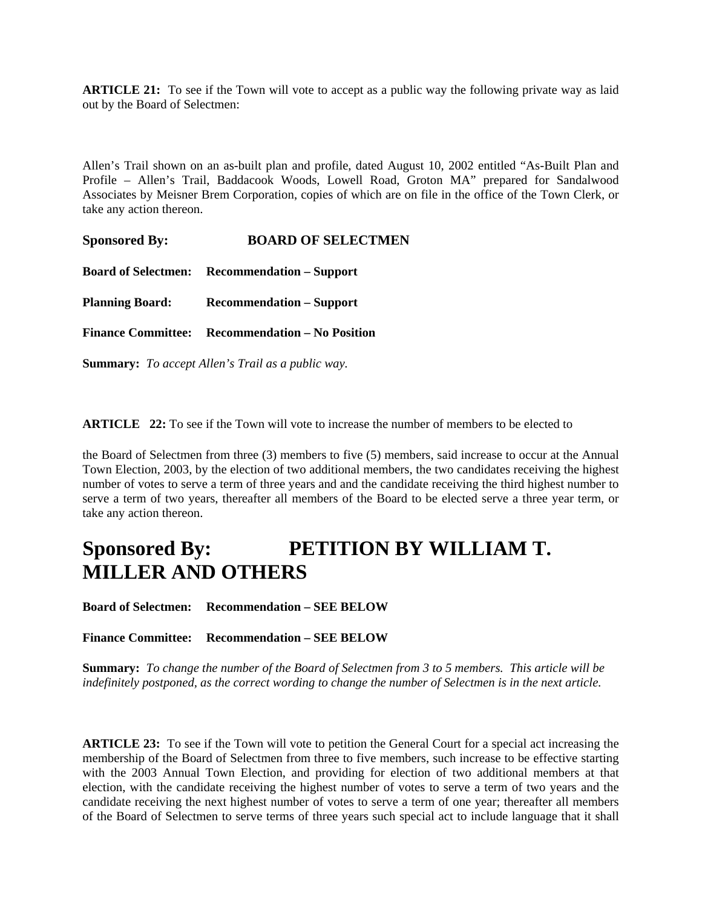**ARTICLE 21:** To see if the Town will vote to accept as a public way the following private way as laid out by the Board of Selectmen:

Allen's Trail shown on an as-built plan and profile, dated August 10, 2002 entitled "As-Built Plan and Profile – Allen's Trail, Baddacook Woods, Lowell Road, Groton MA" prepared for Sandalwood Associates by Meisner Brem Corporation, copies of which are on file in the office of the Town Clerk, or take any action thereon.

**Sponsored By: BOARD OF SELECTMEN Board of Selectmen: Recommendation – Support Planning Board: Recommendation – Support Finance Committee: Recommendation – No Position**

**Summary:** *To accept Allen's Trail as a public way.*

**ARTICLE 22:** To see if the Town will vote to increase the number of members to be elected to

the Board of Selectmen from three (3) members to five (5) members, said increase to occur at the Annual Town Election, 2003, by the election of two additional members, the two candidates receiving the highest number of votes to serve a term of three years and and the candidate receiving the third highest number to serve a term of two years, thereafter all members of the Board to be elected serve a three year term, or take any action thereon.

# **Sponsored By: PETITION BY WILLIAM T. MILLER AND OTHERS**

**Board of Selectmen: Recommendation – SEE BELOW**

**Finance Committee: Recommendation – SEE BELOW**

**Summary:** *To change the number of the Board of Selectmen from 3 to 5 members. This article will be indefinitely postponed, as the correct wording to change the number of Selectmen is in the next article.*

**ARTICLE 23:** To see if the Town will vote to petition the General Court for a special act increasing the membership of the Board of Selectmen from three to five members, such increase to be effective starting with the 2003 Annual Town Election, and providing for election of two additional members at that election, with the candidate receiving the highest number of votes to serve a term of two years and the candidate receiving the next highest number of votes to serve a term of one year; thereafter all members of the Board of Selectmen to serve terms of three years such special act to include language that it shall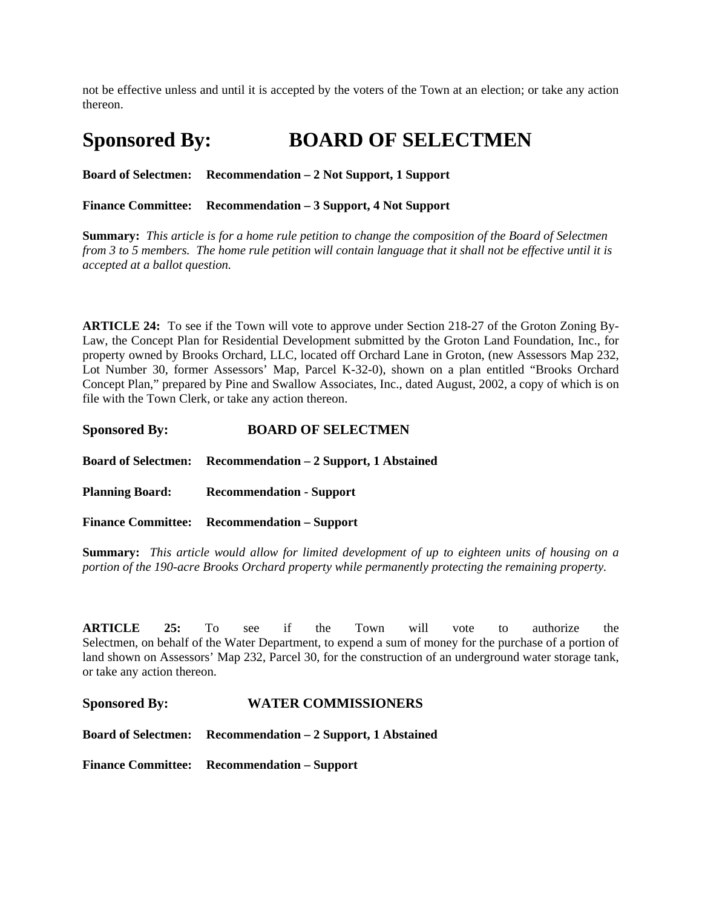not be effective unless and until it is accepted by the voters of the Town at an election; or take any action thereon.

# **Sponsored By: BOARD OF SELECTMEN**

**Board of Selectmen: Recommendation – 2 Not Support, 1 Support**

**Finance Committee: Recommendation – 3 Support, 4 Not Support**

**Summary:** *This article is for a home rule petition to change the composition of the Board of Selectmen from 3 to 5 members. The home rule petition will contain language that it shall not be effective until it is accepted at a ballot question.*

**ARTICLE 24:** To see if the Town will vote to approve under Section 218-27 of the Groton Zoning By-Law, the Concept Plan for Residential Development submitted by the Groton Land Foundation, Inc., for property owned by Brooks Orchard, LLC, located off Orchard Lane in Groton, (new Assessors Map 232, Lot Number 30, former Assessors' Map, Parcel K-32-0), shown on a plan entitled "Brooks Orchard Concept Plan," prepared by Pine and Swallow Associates, Inc., dated August, 2002, a copy of which is on file with the Town Clerk, or take any action thereon.

**Board of Selectmen: Recommendation – 2 Support, 1 Abstained**

**Planning Board: Recommendation - Support**

**Finance Committee: Recommendation – Support**

**Summary:** *This article would allow for limited development of up to eighteen units of housing on a portion of the 190-acre Brooks Orchard property while permanently protecting the remaining property.* 

**ARTICLE 25:** To see if the Town will vote to authorize the Selectmen, on behalf of the Water Department, to expend a sum of money for the purchase of a portion of land shown on Assessors' Map 232, Parcel 30, for the construction of an underground water storage tank, or take any action thereon.

**Sponsored By: WATER COMMISSIONERS** 

**Board of Selectmen: Recommendation – 2 Support, 1 Abstained**

**Finance Committee: Recommendation – Support**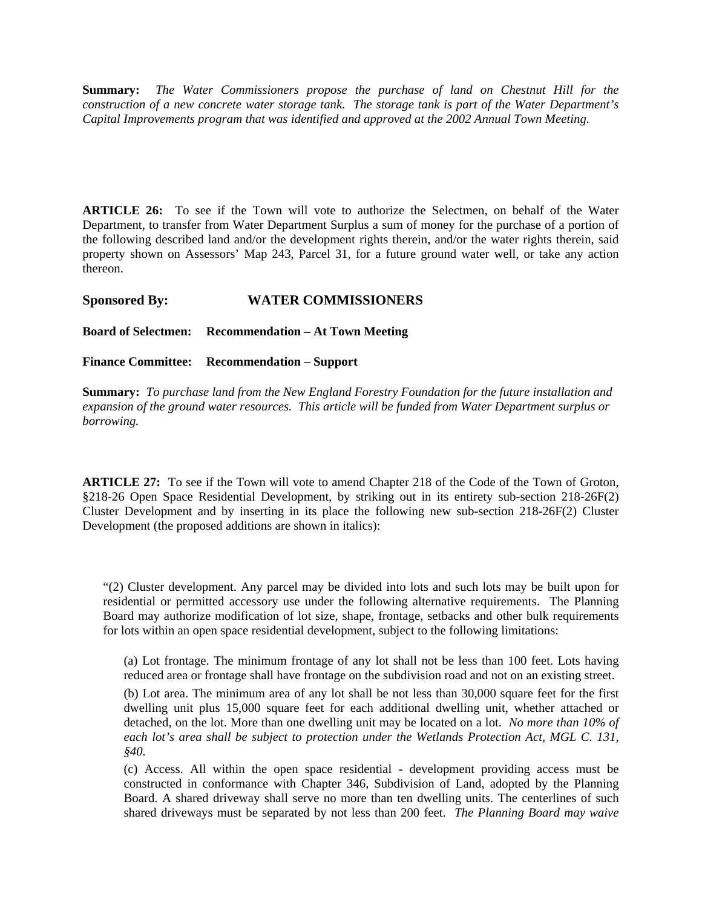**Summary:** *The Water Commissioners propose the purchase of land on Chestnut Hill for the construction of a new concrete water storage tank. The storage tank is part of the Water Department's Capital Improvements program that was identified and approved at the 2002 Annual Town Meeting.*

**ARTICLE 26:** To see if the Town will vote to authorize the Selectmen, on behalf of the Water Department, to transfer from Water Department Surplus a sum of money for the purchase of a portion of the following described land and/or the development rights therein, and/or the water rights therein, said property shown on Assessors' Map 243, Parcel 31, for a future ground water well, or take any action thereon.

#### **Sponsored By: WATER COMMISSIONERS**

**Board of Selectmen: Recommendation – At Town Meeting**

**Finance Committee: Recommendation – Support**

**Summary:** *To purchase land from the New England Forestry Foundation for the future installation and expansion of the ground water resources. This article will be funded from Water Department surplus or borrowing.*

**ARTICLE 27:** To see if the Town will vote to amend Chapter 218 of the Code of the Town of Groton, §218-26 Open Space Residential Development, by striking out in its entirety sub-section 218-26F(2) Cluster Development and by inserting in its place the following new sub-section 218-26F(2) Cluster Development (the proposed additions are shown in italics):

"(2) Cluster development. Any parcel may be divided into lots and such lots may be built upon for residential or permitted accessory use under the following alternative requirements. The Planning Board may authorize modification of lot size, shape, frontage, setbacks and other bulk requirements for lots within an open space residential development, subject to the following limitations:

(a) Lot frontage. The minimum frontage of any lot shall not be less than 100 feet. Lots having reduced area or frontage shall have frontage on the subdivision road and not on an existing street.

(b) Lot area. The minimum area of any lot shall be not less than 30,000 square feet for the first dwelling unit plus 15,000 square feet for each additional dwelling unit, whether attached or detached, on the lot. More than one dwelling unit may be located on a lot. *No more than 10% of each lot's area shall be subject to protection under the Wetlands Protection Act, MGL C. 131, §40.*

(c) Access. All within the open space residential - development providing access must be constructed in conformance with Chapter 346, Subdivision of Land, adopted by the Planning Board. A shared driveway shall serve no more than ten dwelling units. The centerlines of such shared driveways must be separated by not less than 200 feet. *The Planning Board may waive*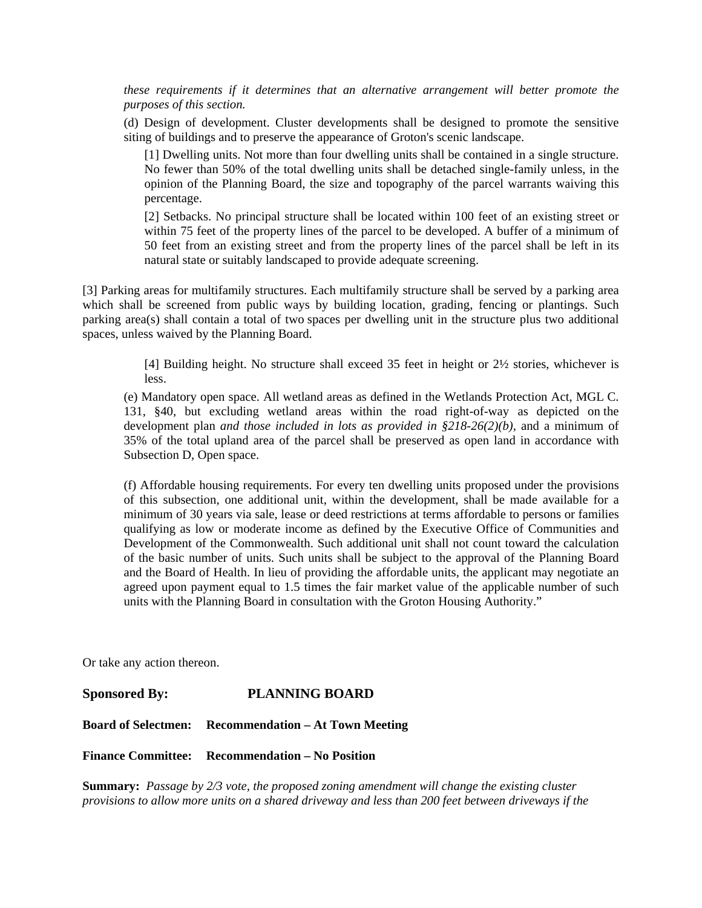*these requirements if it determines that an alternative arrangement will better promote the purposes of this section.*

(d) Design of development. Cluster developments shall be designed to promote the sensitive siting of buildings and to preserve the appearance of Groton's scenic landscape.

[1] Dwelling units. Not more than four dwelling units shall be contained in a single structure. No fewer than 50% of the total dwelling units shall be detached single-family unless, in the opinion of the Planning Board, the size and topography of the parcel warrants waiving this percentage.

[2] Setbacks. No principal structure shall be located within 100 feet of an existing street or within 75 feet of the property lines of the parcel to be developed. A buffer of a minimum of 50 feet from an existing street and from the property lines of the parcel shall be left in its natural state or suitably landscaped to provide adequate screening.

[3] Parking areas for multifamily structures. Each multifamily structure shall be served by a parking area which shall be screened from public ways by building location, grading, fencing or plantings. Such parking area(s) shall contain a total of two spaces per dwelling unit in the structure plus two additional spaces, unless waived by the Planning Board.

> [4] Building height. No structure shall exceed 35 feet in height or 2½ stories, whichever is less.

(e) Mandatory open space. All wetland areas as defined in the Wetlands Protection Act, MGL C. 131, §40, but excluding wetland areas within the road right-of-way as depicted on the development plan *and those included in lots as provided in §218-26(2)(b),* and a minimum of 35% of the total upland area of the parcel shall be preserved as open land in accordance with Subsection D, Open space.

(f) Affordable housing requirements. For every ten dwelling units proposed under the provisions of this subsection, one additional unit, within the development, shall be made available for a minimum of 30 years via sale, lease or deed restrictions at terms affordable to persons or families qualifying as low or moderate income as defined by the Executive Office of Communities and Development of the Commonwealth. Such additional unit shall not count toward the calculation of the basic number of units. Such units shall be subject to the approval of the Planning Board and the Board of Health. In lieu of providing the affordable units, the applicant may negotiate an agreed upon payment equal to 1.5 times the fair market value of the applicable number of such units with the Planning Board in consultation with the Groton Housing Authority."

Or take any action thereon.

**Sponsored By: PLANNING BOARD** 

**Board of Selectmen: Recommendation – At Town Meeting**

**Finance Committee: Recommendation – No Position**

**Summary:** *Passage by 2/3 vote, the proposed zoning amendment will change the existing cluster provisions to allow more units on a shared driveway and less than 200 feet between driveways if the*